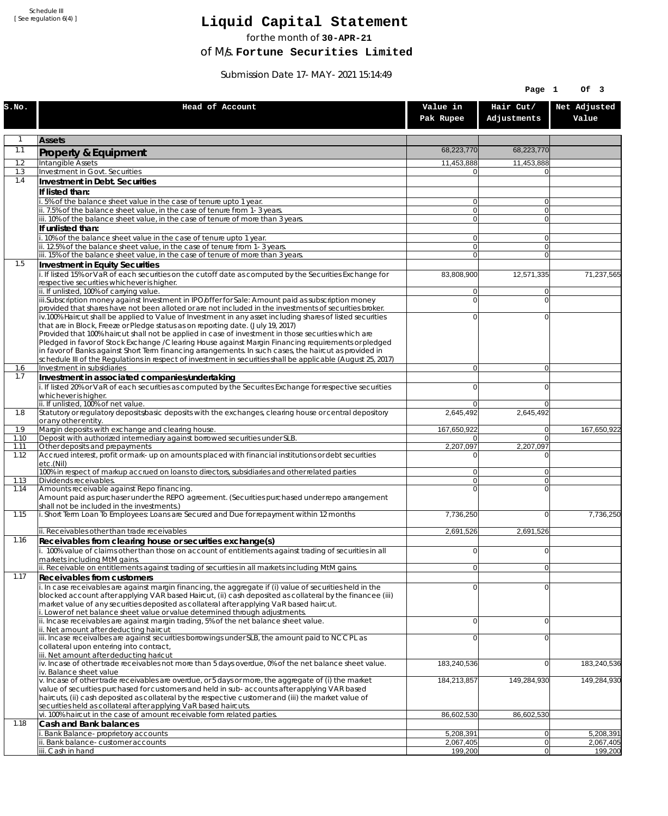Schedule III [ See regulation 6(4) ]

## **Liquid Capital Statement**

for the month of **30-APR-21**

of M/s. **Fortune Securities Limited**

Submission Date 17-MAY-2021 15:14:49

|              |                                                                                                                                                                                                                        |                                  | Page 1                           | Of 3                   |
|--------------|------------------------------------------------------------------------------------------------------------------------------------------------------------------------------------------------------------------------|----------------------------------|----------------------------------|------------------------|
| S.NO.        | Head of Account                                                                                                                                                                                                        | Value in<br>Pak Rupee            | Hair Cut/<br>Adjustments         | Net Adjusted<br>Value  |
| $\mathbf{1}$ | <b>Assets</b>                                                                                                                                                                                                          |                                  |                                  |                        |
| 1.1          | Property & Equipment                                                                                                                                                                                                   | 68,223,770                       | 68,223,770                       |                        |
| 1.2          | Intangible Assets                                                                                                                                                                                                      | 11,453,888                       | 11,453,888                       |                        |
| 1.3<br>1.4   | Investment in Govt. Securities<br>Investment in Debt. Securities                                                                                                                                                       | 0                                |                                  |                        |
|              | If listed than:                                                                                                                                                                                                        |                                  |                                  |                        |
|              | i. 5% of the balance sheet value in the case of tenure upto 1 year.                                                                                                                                                    | $\overline{0}$                   | $\overline{0}$                   |                        |
|              | ii. 7.5% of the balance sheet value, in the case of tenure from 1-3 years.                                                                                                                                             | $\overline{0}$<br>$\overline{0}$ | $\overline{0}$<br>$\overline{0}$ |                        |
|              | iii. 10% of the balance sheet value, in the case of tenure of more than 3 years.<br>If unlisted than:                                                                                                                  |                                  |                                  |                        |
|              | i. 10% of the balance sheet value in the case of tenure upto 1 year.                                                                                                                                                   | 0                                | $\Omega$                         |                        |
|              | ii. 12.5% of the balance sheet value, in the case of tenure from 1-3 years.                                                                                                                                            | $\overline{0}$                   | $\overline{0}$                   |                        |
| 1.5          | iii. 15% of the balance sheet value, in the case of tenure of more than 3 years.<br>Investment in Equity Securities                                                                                                    | $\overline{0}$                   | $\Omega$                         |                        |
|              | i. If listed 15% or VaR of each securities on the cutoff date as computed by the Securities Exchange for                                                                                                               | 83,808,900                       | 12,571,335                       | 71,237,565             |
|              | respective securities whichever is higher.                                                                                                                                                                             |                                  |                                  |                        |
|              | ii. If unlisted, 100% of carrying value.<br>iii.Subscription money against Investment in IPO/offer for Sale: Amount paid as subscription money                                                                         | 0<br>$\mathbf 0$                 | $\Omega$<br>$\Omega$             |                        |
|              | provided that shares have not been alloted or are not included in the investments of securities broker.                                                                                                                |                                  |                                  |                        |
|              | iv.100% Haircut shall be applied to Value of Investment in any asset including shares of listed securities                                                                                                             | 0                                | $\Omega$                         |                        |
|              | that are in Block, Freeze or Pledge status as on reporting date. (July 19, 2017)<br>Provided that 100% haircut shall not be applied in case of investment in those securities which are                                |                                  |                                  |                        |
|              | Pledged in favor of Stock Exchange / Clearing House against Margin Financing requirements or pledged                                                                                                                   |                                  |                                  |                        |
|              | in favor of Banks against Short Term financing arrangements. In such cases, the haircut as provided in<br>schedule III of the Regulations in respect of investment in securities shall be applicable (August 25, 2017) |                                  |                                  |                        |
| 1.6          | Investment in subsidiaries                                                                                                                                                                                             | $\overline{0}$                   | $\overline{0}$                   |                        |
| 1.7          | Investment in associated companies/undertaking                                                                                                                                                                         |                                  |                                  |                        |
|              | i. If listed 20% or VaR of each securities as computed by the Securites Exchange for respective securities<br>whichever is higher.                                                                                     | 0                                | $\Omega$                         |                        |
|              | ii. If unlisted, 100% of net value.                                                                                                                                                                                    | 0                                | $\Omega$                         |                        |
| 1.8          | Statutory or regulatory deposits/basic deposits with the exchanges, clearing house or central depository                                                                                                               | 2,645,492                        | 2,645,492                        |                        |
| 1.9          | or any other entity.<br>Margin deposits with exchange and clearing house.                                                                                                                                              | 167,650,922                      | 0                                | 167,650,922            |
| 1.10         | Deposit with authorized intermediary against borrowed securities under SLB.                                                                                                                                            | 01                               | $\overline{0}$                   |                        |
| 1.11<br>1.12 | Other deposits and prepayments<br>Accrued interest, profit or mark-up on amounts placed with financial institutions or debt securities                                                                                 | 2,207,097<br>0                   | 2,207,097<br>$\Omega$            |                        |
|              | etc.(Nil)                                                                                                                                                                                                              |                                  |                                  |                        |
|              | 100% in respect of markup accrued on loans to directors, subsidiaries and other related parties                                                                                                                        | 0                                | $\Omega$                         |                        |
| 1.13<br>1.14 | Dividends receivables.<br>Amounts receivable against Repo financing.                                                                                                                                                   | $\overline{0}$<br>$\mathbf 0$    | $\Omega$<br>$\Omega$             |                        |
|              | Amount paid as purchaser under the REPO agreement. (Securities purchased under repo arrangement                                                                                                                        |                                  |                                  |                        |
| 1.15         | shall not be included in the investments.)<br>i. Short Term Loan To Employees: Loans are Secured and Due for repayment within 12 months                                                                                | 7,736,250                        | $\overline{0}$                   | 7,736,250              |
|              |                                                                                                                                                                                                                        |                                  |                                  |                        |
|              | ii. Receivables other than trade receivables                                                                                                                                                                           | 2,691,526                        | 2,691,526                        |                        |
| 1.16         | Receivables from clearing house or securities exchange(s)<br>i. 100% value of claims other than those on account of entitlements against trading of securities in all                                                  | 0                                | 0                                |                        |
|              | markets including MtM gains.                                                                                                                                                                                           |                                  |                                  |                        |
|              | ii. Receivable on entitlements against trading of securities in all markets including MtM gains.                                                                                                                       | $\overline{0}$                   | 0                                |                        |
| 1.17         | <b>Receivables from customers</b>                                                                                                                                                                                      | $\mathbf 0$                      | $\overline{0}$                   |                        |
|              | i. In case receivables are against margin financing, the aggregate if (i) value of securities held in the<br>blocked account after applying VAR based Haircut, (ii) cash deposited as collateral by the financee (iii) |                                  |                                  |                        |
|              | market value of any securities deposited as collateral after applying VaR based haircut.                                                                                                                               |                                  |                                  |                        |
|              | i. Lower of net balance sheet value or value determined through adjustments.<br>ii. Incase receivables are against margin trading, 5% of the net balance sheet value.                                                  | $\mathbf 0$                      | $\overline{0}$                   |                        |
|              | ii. Net amount after deducting haircut                                                                                                                                                                                 |                                  |                                  |                        |
|              | iii. Incase receivalbes are against securities borrowings under SLB, the amount paid to NCCPL as<br>collateral upon entering into contract,                                                                            | 0                                | $\Omega$                         |                        |
|              | iii. Net amount after deducting haricut                                                                                                                                                                                |                                  |                                  |                        |
|              | $iv.$ Incase of other trade receivables not more than 5 days overdue, 0% of the net balance sheet value.                                                                                                               | 183,240,536                      | $\overline{0}$                   | 183,240,536            |
|              | iv. Balance sheet value<br>v. Incase of other trade receivables are overdue, or 5 days or more, the aggregate of (i) the market                                                                                        | 184,213,857                      | 149,284,930                      | 149,284,930            |
|              | value of securities purchased for customers and held in sub-accounts after applying VAR based                                                                                                                          |                                  |                                  |                        |
|              | haircuts, (ii) cash deposited as collateral by the respective customer and (iii) the market value of<br>securities held as collateral after applying VaR based haircuts.                                               |                                  |                                  |                        |
|              | vi. 100% haircut in the case of amount receivable form related parties.                                                                                                                                                | 86,602,530                       | 86,602,530                       |                        |
| 1.18         | Cash and Bank balances                                                                                                                                                                                                 |                                  |                                  |                        |
|              | i. Bank Balance-proprietory accounts<br>ii. Bank balance-customer accounts                                                                                                                                             | 5,208,391<br>2,067,405           | 0 <br> 0                         | 5,208,391<br>2,067,405 |
|              | iii. Cash in hand                                                                                                                                                                                                      | 199,200                          | 0                                | 199,200                |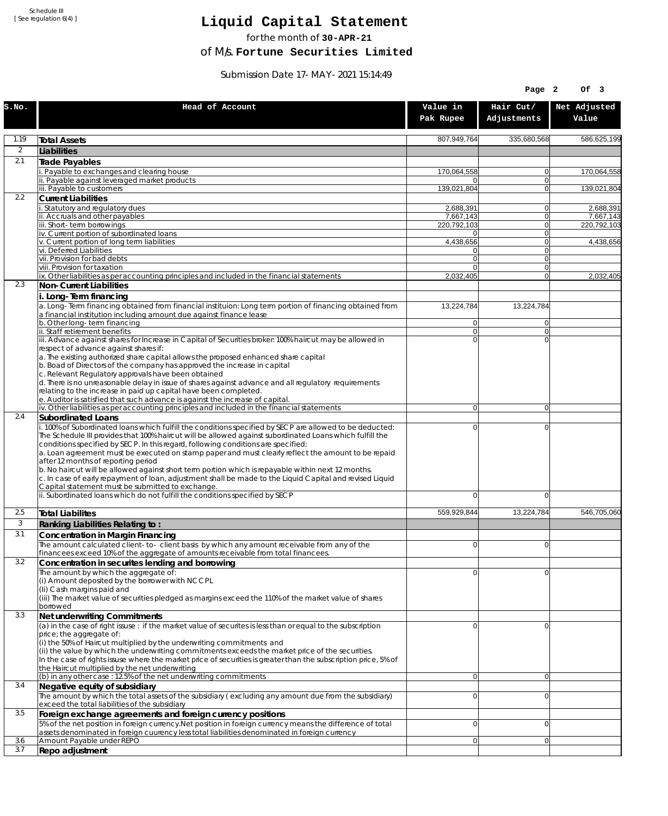Schedule III [ See regulation 6(4) ]

## **Liquid Capital Statement**

for the month of **30-APR-21**

of M/s. **Fortune Securities Limited**

Submission Date 17-MAY-2021 15:14:49

|                |                                                                                                                                                                                                                                                                                                                                                                                                                                                                                                                                                                                                                                                                                                                                                          |                                  | Page 2                   | OF <sub>3</sub>          |
|----------------|----------------------------------------------------------------------------------------------------------------------------------------------------------------------------------------------------------------------------------------------------------------------------------------------------------------------------------------------------------------------------------------------------------------------------------------------------------------------------------------------------------------------------------------------------------------------------------------------------------------------------------------------------------------------------------------------------------------------------------------------------------|----------------------------------|--------------------------|--------------------------|
| S.NO.          | Head of Account                                                                                                                                                                                                                                                                                                                                                                                                                                                                                                                                                                                                                                                                                                                                          | Value in<br>Pak Rupee            | Hair Cut/<br>Adjustments | Net Adjusted<br>Value    |
| 1.19           | <b>Total Assets</b>                                                                                                                                                                                                                                                                                                                                                                                                                                                                                                                                                                                                                                                                                                                                      | 807,949,764                      | 335,680,568              | 586,625,199              |
| $\overline{2}$ | Liabilities                                                                                                                                                                                                                                                                                                                                                                                                                                                                                                                                                                                                                                                                                                                                              |                                  |                          |                          |
| 2.1            | Trade Payables                                                                                                                                                                                                                                                                                                                                                                                                                                                                                                                                                                                                                                                                                                                                           |                                  |                          |                          |
|                | Payable to exchanges and clearing house                                                                                                                                                                                                                                                                                                                                                                                                                                                                                                                                                                                                                                                                                                                  | 170,064,558                      | 0                        | 170,064,558              |
|                | ii. Payable against leveraged market products<br>iii. Payable to customers                                                                                                                                                                                                                                                                                                                                                                                                                                                                                                                                                                                                                                                                               | 0<br>139,021,804                 | $\mathbf{0}$<br>0        | 139,021,804              |
| 2.2            | <b>Current Liabilities</b>                                                                                                                                                                                                                                                                                                                                                                                                                                                                                                                                                                                                                                                                                                                               |                                  |                          |                          |
|                | . Statutory and regulatory dues                                                                                                                                                                                                                                                                                                                                                                                                                                                                                                                                                                                                                                                                                                                          | 2,688,391                        | 0                        | 2,688,391                |
|                | ii. Accruals and other payables<br>iii. Short-term borrowings                                                                                                                                                                                                                                                                                                                                                                                                                                                                                                                                                                                                                                                                                            | 7,667,143<br>220,792,103         | $\mathbf{0}$<br>0        | 7,667,143<br>220,792,103 |
|                | iv. Current portion of subordinated loans                                                                                                                                                                                                                                                                                                                                                                                                                                                                                                                                                                                                                                                                                                                | 0                                | 0                        |                          |
|                | v. Current portion of long term liabilities                                                                                                                                                                                                                                                                                                                                                                                                                                                                                                                                                                                                                                                                                                              | 4,438,656                        | $\mathbf{0}$             | 4,438,656                |
|                | vi. Deferred Liabilities<br>vii. Provision for bad debts                                                                                                                                                                                                                                                                                                                                                                                                                                                                                                                                                                                                                                                                                                 | 0<br>$\overline{0}$              | 0<br>$\mathbf{0}$        |                          |
|                | viii. Provision for taxation                                                                                                                                                                                                                                                                                                                                                                                                                                                                                                                                                                                                                                                                                                                             | $\Omega$                         | 0                        |                          |
|                | ix. Other liabilities as per accounting principles and included in the financial statements                                                                                                                                                                                                                                                                                                                                                                                                                                                                                                                                                                                                                                                              | 2,032,405                        | $\overline{0}$           | 2,032,405                |
| 2.3            | Non-Current Liabilities                                                                                                                                                                                                                                                                                                                                                                                                                                                                                                                                                                                                                                                                                                                                  |                                  |                          |                          |
|                | i. Long-Term financing<br>a. Long-Term financing obtained from financial instituion: Long term portion of financing obtained from<br>a financial institution including amount due against finance lease                                                                                                                                                                                                                                                                                                                                                                                                                                                                                                                                                  | 13,224,784                       | 13,224,784               |                          |
|                | b. Other long-term financing<br>ii. Staff retirement benefits                                                                                                                                                                                                                                                                                                                                                                                                                                                                                                                                                                                                                                                                                            | $\overline{0}$<br>$\overline{0}$ | $\mathbf{0}$<br>0        |                          |
|                | iii. Advance against shares for Increase in Capital of Securities broker: 100% haircut may be allowed in                                                                                                                                                                                                                                                                                                                                                                                                                                                                                                                                                                                                                                                 | $\Omega$                         | $\Omega$                 |                          |
|                | respect of advance against shares if:<br>a. The existing authorized share capital allows the proposed enhanced share capital<br>b. Boad of Directors of the company has approved the increase in capital<br>c. Relevant Regulatory approvals have been obtained<br>d. There is no unreasonable delay in issue of shares against advance and all regulatory requirements<br>relating to the increase in paid up capital have been completed.<br>e. Auditor is satisfied that such advance is against the increase of capital.                                                                                                                                                                                                                             |                                  |                          |                          |
| 2.4            | iv. Other liabilities as per accounting principles and included in the financial statements                                                                                                                                                                                                                                                                                                                                                                                                                                                                                                                                                                                                                                                              | $\overline{0}$                   | $\overline{0}$           |                          |
|                | <b>Subordinated Loans</b><br>. 100% of Subordinated loans which fulfill the conditions specified by SECP are allowed to be deducted:<br>The Schedule III provides that 100% haircut will be allowed against subordinated Loans which fulfill the<br>conditions specified by SECP. In this regard, following conditions are specified:<br>a. Loan agreement must be executed on stamp paper and must clearly reflect the amount to be repaid<br>after 12 months of reporting period<br>b. No haircut will be allowed against short term portion which is repayable within next 12 months.<br>c. In case of early repayment of loan, adjustment shall be made to the Liquid Capital and revised Liquid<br>Capital statement must be submitted to exchange. | 0                                | 0                        |                          |
|                | ii. Subordinated loans which do not fulfill the conditions specified by SECP                                                                                                                                                                                                                                                                                                                                                                                                                                                                                                                                                                                                                                                                             | 0                                | 0                        |                          |
| 2.5            | <b>Total Liabilites</b>                                                                                                                                                                                                                                                                                                                                                                                                                                                                                                                                                                                                                                                                                                                                  | 559.929.844                      | 13.224.784               | 546,705,060              |
| 3              | Ranking Liabilities Relating to:                                                                                                                                                                                                                                                                                                                                                                                                                                                                                                                                                                                                                                                                                                                         |                                  |                          |                          |
| 3.1            | Concentration in Margin Financing                                                                                                                                                                                                                                                                                                                                                                                                                                                                                                                                                                                                                                                                                                                        |                                  |                          |                          |
|                | The amount calculated client-to- client basis by which any amount receivable from any of the                                                                                                                                                                                                                                                                                                                                                                                                                                                                                                                                                                                                                                                             | ΩI                               | $\Omega$                 |                          |
| 3.2            | financees exceed 10% of the aggregate of amounts receivable from total financees.                                                                                                                                                                                                                                                                                                                                                                                                                                                                                                                                                                                                                                                                        |                                  |                          |                          |
|                | Concentration in securites lending and borrowing<br>The amount by which the aggregate of:                                                                                                                                                                                                                                                                                                                                                                                                                                                                                                                                                                                                                                                                | 0                                | 0                        |                          |
|                | (i) Amount deposited by the borrower with NCCPL<br>(Ii) Cash margins paid and<br>(iii) The market value of securities pledged as margins exceed the 110% of the market value of shares<br>borrowed                                                                                                                                                                                                                                                                                                                                                                                                                                                                                                                                                       |                                  |                          |                          |
| 3.3            | Net underwriting Commitments                                                                                                                                                                                                                                                                                                                                                                                                                                                                                                                                                                                                                                                                                                                             |                                  |                          |                          |
|                | (a) in the case of right issuse : if the market value of securites is less than or equal to the subscription<br>price; the aggregate of:<br>(i) the 50% of Haircut multiplied by the underwriting commitments and<br>(ii) the value by which the underwriting commitments exceeds the market price of the securities.<br>In the case of rights issuse where the market price of securities is greater than the subscription price, 5% of<br>the Haircut multiplied by the net underwriting                                                                                                                                                                                                                                                               | 0                                | 0                        |                          |
| 3.4            | (b) in any other case: 12.5% of the net underwriting commitments<br>Negative equity of subsidiary                                                                                                                                                                                                                                                                                                                                                                                                                                                                                                                                                                                                                                                        | 0                                | 0                        |                          |
|                | The amount by which the total assets of the subsidiary (excluding any amount due from the subsidiary)<br>exceed the total liabilities of the subsidiary                                                                                                                                                                                                                                                                                                                                                                                                                                                                                                                                                                                                  | $\overline{0}$                   | 0                        |                          |
| 3.5            | Foreign exchange agreements and foreign currency positions                                                                                                                                                                                                                                                                                                                                                                                                                                                                                                                                                                                                                                                                                               |                                  |                          |                          |
| 3.6            | 5% of the net position in foreign currency. Net position in foreign currency means the difference of total<br>assets denominated in foreign cuurency less total liabilities denominated in foreign currency<br>Amount Payable under REPO                                                                                                                                                                                                                                                                                                                                                                                                                                                                                                                 | 0<br>0                           | 0<br> 0                  |                          |
| 3.7            | Repo adjustment                                                                                                                                                                                                                                                                                                                                                                                                                                                                                                                                                                                                                                                                                                                                          |                                  |                          |                          |
|                |                                                                                                                                                                                                                                                                                                                                                                                                                                                                                                                                                                                                                                                                                                                                                          |                                  |                          |                          |